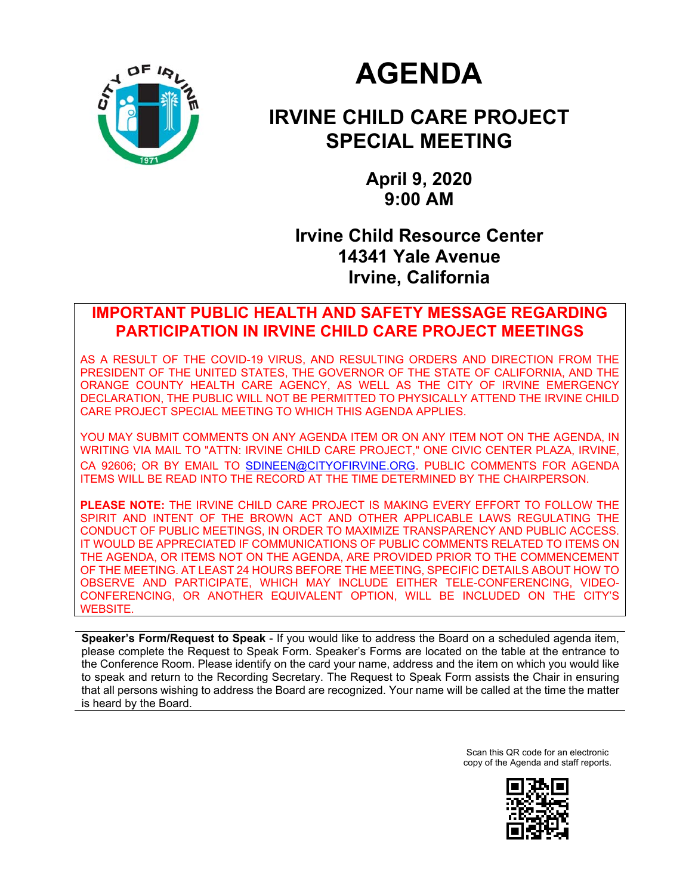

# **AGENDA**

## **IRVINE CHILD CARE PROJECT SPECIAL MEETING**

**April 9, 2020 9:00 AM** 

## **Irvine Child Resource Center 14341 Yale Avenue Irvine, California**

## **IMPORTANT PUBLIC HEALTH AND SAFETY MESSAGE REGARDING PARTICIPATION IN IRVINE CHILD CARE PROJECT MEETINGS**

AS A RESULT OF THE COVID-19 VIRUS, AND RESULTING ORDERS AND DIRECTION FROM THE PRESIDENT OF THE UNITED STATES, THE GOVERNOR OF THE STATE OF CALIFORNIA, AND THE ORANGE COUNTY HEALTH CARE AGENCY, AS WELL AS THE CITY OF IRVINE EMERGENCY DECLARATION, THE PUBLIC WILL NOT BE PERMITTED TO PHYSICALLY ATTEND THE IRVINE CHILD CARE PROJECT SPECIAL MEETING TO WHICH THIS AGENDA APPLIES.

YOU MAY SUBMIT COMMENTS ON ANY AGENDA ITEM OR ON ANY ITEM NOT ON THE AGENDA, IN WRITING VIA MAIL TO "ATTN: IRVINE CHILD CARE PROJECT," ONE CIVIC CENTER PLAZA, IRVINE, CA 92606; OR BY EMAIL TO SDINEEN@CITYOFIRVINE.ORG. PUBLIC COMMENTS FOR AGENDA ITEMS WILL BE READ INTO THE RECORD AT THE TIME DETERMINED BY THE CHAIRPERSON.

**PLEASE NOTE:** THE IRVINE CHILD CARE PROJECT IS MAKING EVERY EFFORT TO FOLLOW THE SPIRIT AND INTENT OF THE BROWN ACT AND OTHER APPLICABLE LAWS REGULATING THE CONDUCT OF PUBLIC MEETINGS, IN ORDER TO MAXIMIZE TRANSPARENCY AND PUBLIC ACCESS. IT WOULD BE APPRECIATED IF COMMUNICATIONS OF PUBLIC COMMENTS RELATED TO ITEMS ON THE AGENDA, OR ITEMS NOT ON THE AGENDA, ARE PROVIDED PRIOR TO THE COMMENCEMENT OF THE MEETING. AT LEAST 24 HOURS BEFORE THE MEETING, SPECIFIC DETAILS ABOUT HOW TO OBSERVE AND PARTICIPATE, WHICH MAY INCLUDE EITHER TELE-CONFERENCING, VIDEO-CONFERENCING, OR ANOTHER EQUIVALENT OPTION, WILL BE INCLUDED ON THE CITY'S WEBSITE.

**Speaker's Form/Request to Speak** - If you would like to address the Board on a scheduled agenda item, please complete the Request to Speak Form. Speaker's Forms are located on the table at the entrance to the Conference Room. Please identify on the card your name, address and the item on which you would like to speak and return to the Recording Secretary. The Request to Speak Form assists the Chair in ensuring that all persons wishing to address the Board are recognized. Your name will be called at the time the matter is heard by the Board.

> Scan this QR code for an electronic copy of the Agenda and staff reports.

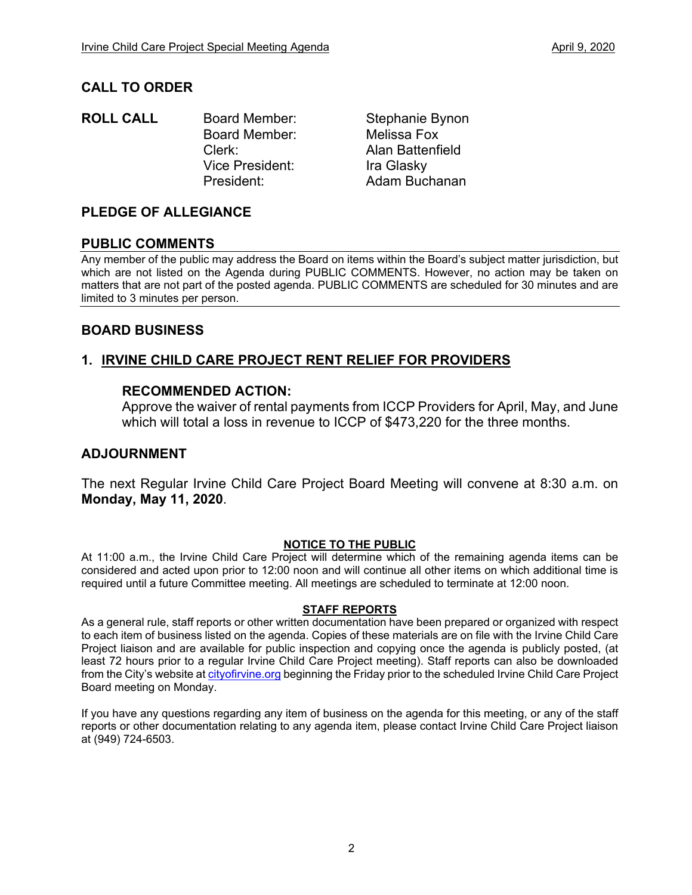## **CALL TO ORDER**

**ROLL CALL** Board Member: Stephanie Bynon Board Member: Melissa Fox Clerk: Alan Battenfield Vice President:Ira Glasky President: Adam Buchanan

## **PLEDGE OF ALLEGIANCE**

## **PUBLIC COMMENTS**

Any member of the public may address the Board on items within the Board's subject matter jurisdiction, but which are not listed on the Agenda during PUBLIC COMMENTS. However, no action may be taken on matters that are not part of the posted agenda. PUBLIC COMMENTS are scheduled for 30 minutes and are limited to 3 minutes per person.

## **BOARD BUSINESS**

## **1. IRVINE CHILD CARE PROJECT RENT RELIEF FOR PROVIDERS**

## **RECOMMENDED ACTION:**

Approve the waiver of rental payments from ICCP Providers for April, May, and June which will total a loss in revenue to ICCP of \$473,220 for the three months.

## **ADJOURNMENT**

The next Regular Irvine Child Care Project Board Meeting will convene at 8:30 a.m. on **Monday, May 11, 2020**.

#### **NOTICE TO THE PUBLIC**

At 11:00 a.m., the Irvine Child Care Project will determine which of the remaining agenda items can be considered and acted upon prior to 12:00 noon and will continue all other items on which additional time is required until a future Committee meeting. All meetings are scheduled to terminate at 12:00 noon.

#### **STAFF REPORTS**

As a general rule, staff reports or other written documentation have been prepared or organized with respect to each item of business listed on the agenda. Copies of these materials are on file with the Irvine Child Care Project liaison and are available for public inspection and copying once the agenda is publicly posted, (at least 72 hours prior to a regular Irvine Child Care Project meeting). Staff reports can also be downloaded from the City's website at cityofirvine.org beginning the Friday prior to the scheduled Irvine Child Care Project Board meeting on Monday.

If you have any questions regarding any item of business on the agenda for this meeting, or any of the staff reports or other documentation relating to any agenda item, please contact Irvine Child Care Project liaison at (949) 724-6503.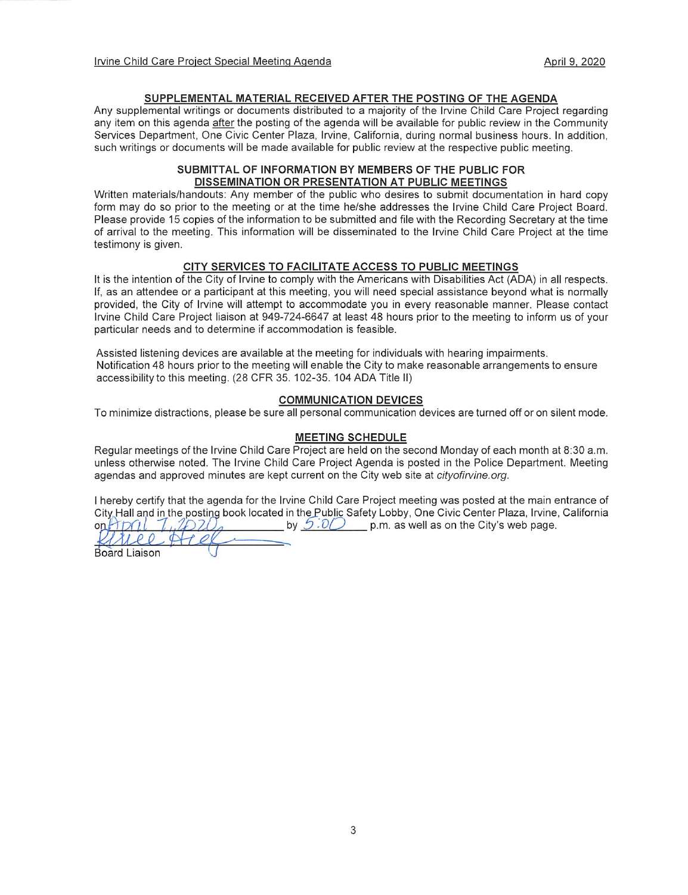#### SUPPLEMENTAL MATERIAL RECEIVED AFTER THE POSTING OF THE AGENDA

Any supplemental writings or documents distributed to a majority of the Irvine Child Care Project regarding any item on this agenda after the posting of the agenda will be available for public review in the Community Services Department, One Civic Center Plaza, Irvine, California, during normal business hours. In addition, such writings or documents will be made available for public review at the respective public meeting.

#### SUBMITTAL OF INFORMATION BY MEMBERS OF THE PUBLIC FOR DISSEMINATION OR PRESENTATION AT PUBLIC MEETINGS

Written materials/handouts: Any member of the public who desires to submit documentation in hard copy form may do so prior to the meeting or at the time he/she addresses the Irvine Child Care Project Board. Please provide 15 copies of the information to be submitted and file with the Recording Secretary at the time of arrival to the meeting. This information will be disseminated to the Irvine Child Care Project at the time testimony is given.

#### CITY SERVICES TO FACILITATE ACCESS TO PUBLIC MEETINGS

It is the intention of the City of Irvine to comply with the Americans with Disabilities Act (ADA) in all respects. If, as an attendee or a participant at this meeting, you will need special assistance beyond what is normally provided, the City of Irvine will attempt to accommodate you in every reasonable manner. Please contact Irvine Child Care Project liaison at 949-724-6647 at least 48 hours prior to the meeting to inform us of your particular needs and to determine if accommodation is feasible.

Assisted listening devices are available at the meeting for individuals with hearing impairments. Notification 48 hours prior to the meeting will enable the City to make reasonable arrangements to ensure accessibility to this meeting. (28 CFR 35. 102-35. 104 ADA Title II)

#### **COMMUNICATION DEVICES**

To minimize distractions, please be sure all personal communication devices are turned off or on silent mode.

#### **MEETING SCHEDULE**

Regular meetings of the Irvine Child Care Project are held on the second Monday of each month at 8:30 a.m. unless otherwise noted. The Irvine Child Care Project Agenda is posted in the Police Department. Meeting agendas and approved minutes are kept current on the City web site at cityofirvine.org.

I hereby certify that the agenda for the Irvine Child Care Project meeting was posted at the main entrance of City Hall and in the posting book located in the Public Safety Lobby, One Civic Center Plaza, Irvine, California by  $5.0$  p.m. as well as on the City's web page.  $onHDI$ ries

**Board Liaison**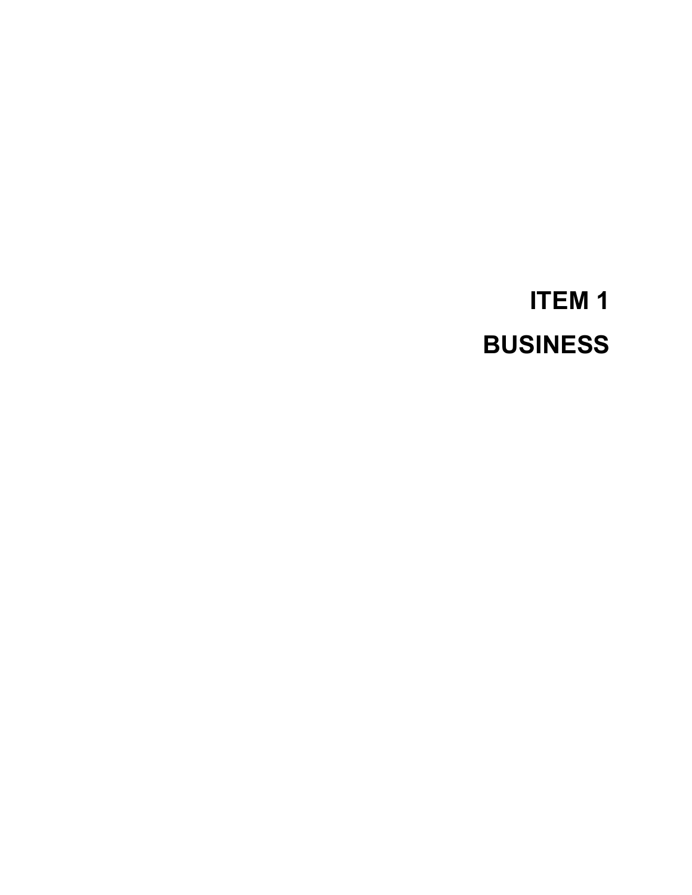# **ITEM 1 BUSINESS**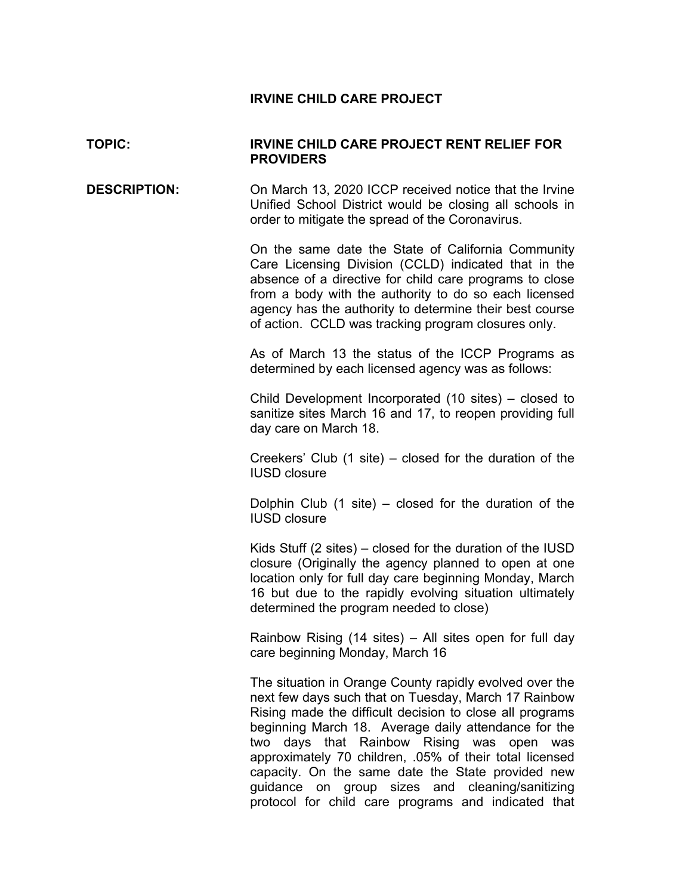### **IRVINE CHILD CARE PROJECT**

## **TOPIC: IRVINE CHILD CARE PROJECT RENT RELIEF FOR PROVIDERS**

**DESCRIPTION:** On March 13, 2020 ICCP received notice that the Irvine Unified School District would be closing all schools in order to mitigate the spread of the Coronavirus.

> On the same date the State of California Community Care Licensing Division (CCLD) indicated that in the absence of a directive for child care programs to close from a body with the authority to do so each licensed agency has the authority to determine their best course of action. CCLD was tracking program closures only.

> As of March 13 the status of the ICCP Programs as determined by each licensed agency was as follows:

> Child Development Incorporated (10 sites) – closed to sanitize sites March 16 and 17, to reopen providing full day care on March 18.

> Creekers' Club (1 site) – closed for the duration of the IUSD closure

> Dolphin Club  $(1 \text{ site})$  – closed for the duration of the IUSD closure

> Kids Stuff (2 sites) – closed for the duration of the IUSD closure (Originally the agency planned to open at one location only for full day care beginning Monday, March 16 but due to the rapidly evolving situation ultimately determined the program needed to close)

> Rainbow Rising (14 sites) – All sites open for full day care beginning Monday, March 16

> The situation in Orange County rapidly evolved over the next few days such that on Tuesday, March 17 Rainbow Rising made the difficult decision to close all programs beginning March 18. Average daily attendance for the two days that Rainbow Rising was open was approximately 70 children, .05% of their total licensed capacity. On the same date the State provided new guidance on group sizes and cleaning/sanitizing protocol for child care programs and indicated that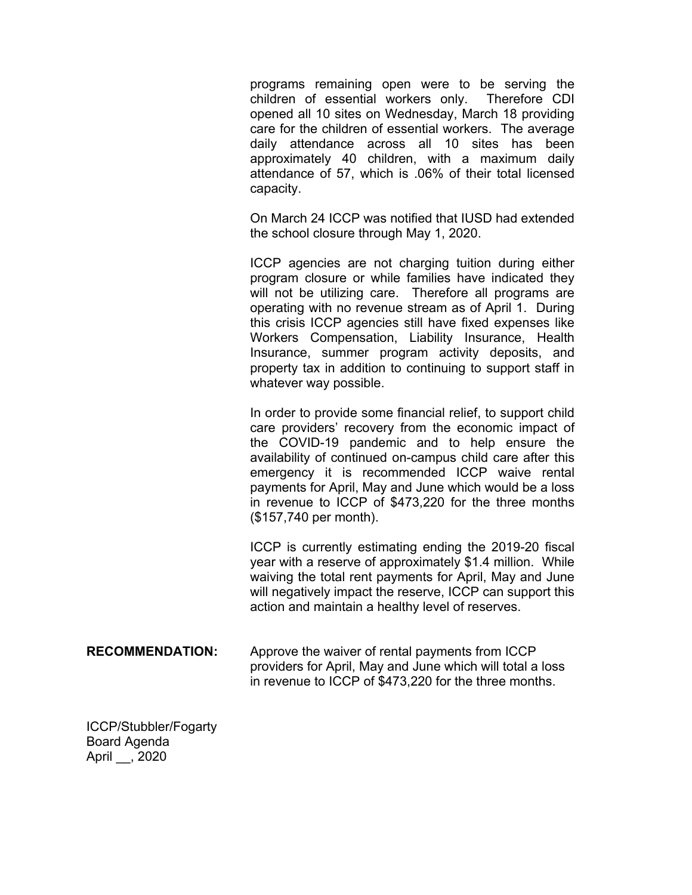programs remaining open were to be serving the children of essential workers only. Therefore CDI opened all 10 sites on Wednesday, March 18 providing care for the children of essential workers. The average daily attendance across all 10 sites has been approximately 40 children, with a maximum daily attendance of 57, which is .06% of their total licensed capacity.

On March 24 ICCP was notified that IUSD had extended the school closure through May 1, 2020.

ICCP agencies are not charging tuition during either program closure or while families have indicated they will not be utilizing care. Therefore all programs are operating with no revenue stream as of April 1. During this crisis ICCP agencies still have fixed expenses like Workers Compensation, Liability Insurance, Health Insurance, summer program activity deposits, and property tax in addition to continuing to support staff in whatever way possible.

In order to provide some financial relief, to support child care providers' recovery from the economic impact of the COVID-19 pandemic and to help ensure the availability of continued on-campus child care after this emergency it is recommended ICCP waive rental payments for April, May and June which would be a loss in revenue to ICCP of \$473,220 for the three months (\$157,740 per month).

ICCP is currently estimating ending the 2019-20 fiscal year with a reserve of approximately \$1.4 million. While waiving the total rent payments for April, May and June will negatively impact the reserve, ICCP can support this action and maintain a healthy level of reserves.

**RECOMMENDATION:** Approve the waiver of rental payments from ICCP providers for April, May and June which will total a loss in revenue to ICCP of \$473,220 for the three months.

ICCP/Stubbler/Fogarty Board Agenda April \_\_, 2020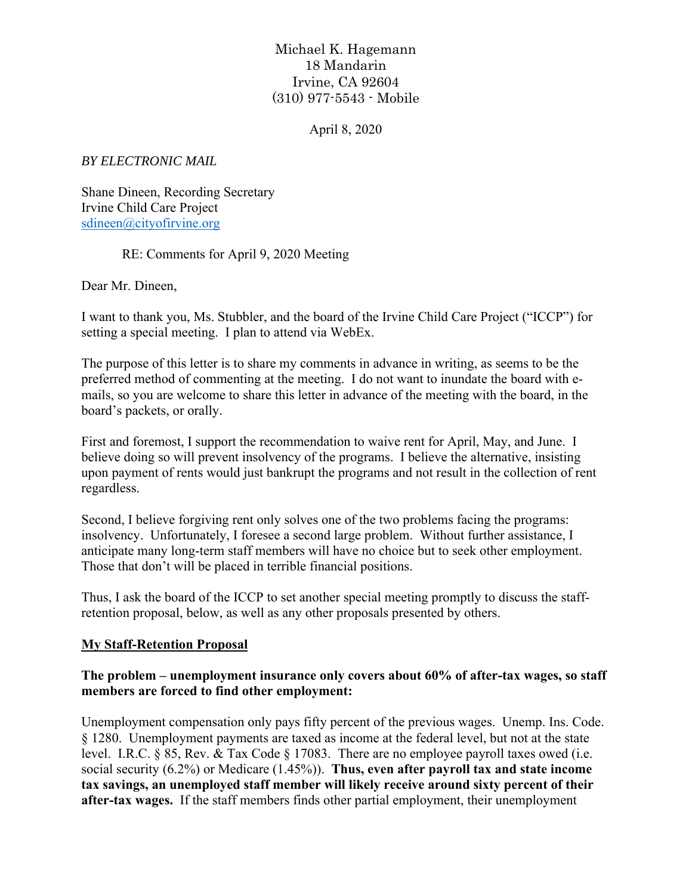## Michael K. Hagemann 18 Mandarin Irvine, CA 92604 (310) 977-5543 - Mobile

April 8, 2020

*BY ELECTRONIC MAIL* 

Shane Dineen, Recording Secretary Irvine Child Care Project sdineen@cityofirvine.org

RE: Comments for April 9, 2020 Meeting

Dear Mr. Dineen,

I want to thank you, Ms. Stubbler, and the board of the Irvine Child Care Project ("ICCP") for setting a special meeting. I plan to attend via WebEx.

The purpose of this letter is to share my comments in advance in writing, as seems to be the preferred method of commenting at the meeting. I do not want to inundate the board with emails, so you are welcome to share this letter in advance of the meeting with the board, in the board's packets, or orally.

First and foremost, I support the recommendation to waive rent for April, May, and June. I believe doing so will prevent insolvency of the programs. I believe the alternative, insisting upon payment of rents would just bankrupt the programs and not result in the collection of rent regardless.

Second, I believe forgiving rent only solves one of the two problems facing the programs: insolvency. Unfortunately, I foresee a second large problem. Without further assistance, I anticipate many long-term staff members will have no choice but to seek other employment. Those that don't will be placed in terrible financial positions.

Thus, I ask the board of the ICCP to set another special meeting promptly to discuss the staffretention proposal, below, as well as any other proposals presented by others.

## **My Staff-Retention Proposal**

## **The problem – unemployment insurance only covers about 60% of after-tax wages, so staff members are forced to find other employment:**

Unemployment compensation only pays fifty percent of the previous wages. Unemp. Ins. Code. § 1280. Unemployment payments are taxed as income at the federal level, but not at the state level. I.R.C. § 85, Rev. & Tax Code § 17083. There are no employee payroll taxes owed (i.e. social security (6.2%) or Medicare (1.45%)). **Thus, even after payroll tax and state income tax savings, an unemployed staff member will likely receive around sixty percent of their after-tax wages.** If the staff members finds other partial employment, their unemployment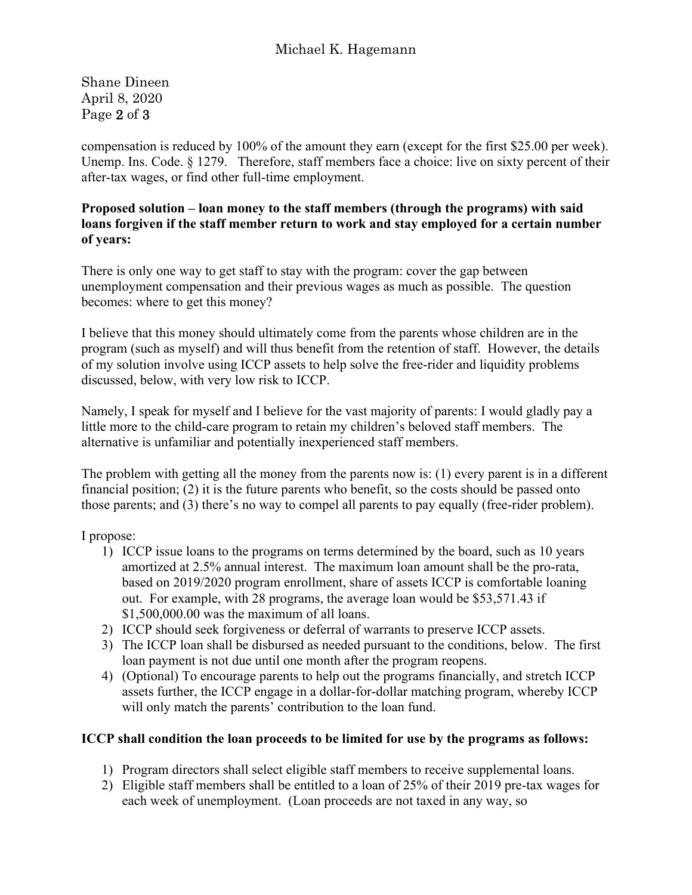Shane Dineen April 8, 2020 Page 2 of 3

compensation is reduced by 100% of the amount they earn (except for the first \$25.00 per week). Unemp. Ins. Code. § 1279. Therefore, staff members face a choice: live on sixty percent of their after-tax wages, or find other full-time employment.

## **Proposed solution – loan money to the staff members (through the programs) with said loans forgiven if the staff member return to work and stay employed for a certain number of years:**

There is only one way to get staff to stay with the program: cover the gap between unemployment compensation and their previous wages as much as possible. The question becomes: where to get this money?

I believe that this money should ultimately come from the parents whose children are in the program (such as myself) and will thus benefit from the retention of staff. However, the details of my solution involve using ICCP assets to help solve the free-rider and liquidity problems discussed, below, with very low risk to ICCP.

Namely, I speak for myself and I believe for the vast majority of parents: I would gladly pay a little more to the child-care program to retain my children's beloved staff members. The alternative is unfamiliar and potentially inexperienced staff members.

The problem with getting all the money from the parents now is: (1) every parent is in a different financial position; (2) it is the future parents who benefit, so the costs should be passed onto those parents; and (3) there's no way to compel all parents to pay equally (free-rider problem).

I propose:

- 1) ICCP issue loans to the programs on terms determined by the board, such as 10 years amortized at 2.5% annual interest. The maximum loan amount shall be the pro-rata, based on 2019/2020 program enrollment, share of assets ICCP is comfortable loaning out. For example, with 28 programs, the average loan would be \$53,571.43 if \$1,500,000.00 was the maximum of all loans.
- 2) ICCP should seek forgiveness or deferral of warrants to preserve ICCP assets.
- 3) The ICCP loan shall be disbursed as needed pursuant to the conditions, below. The first loan payment is not due until one month after the program reopens.
- 4) (Optional) To encourage parents to help out the programs financially, and stretch ICCP assets further, the ICCP engage in a dollar-for-dollar matching program, whereby ICCP will only match the parents' contribution to the loan fund.

## **ICCP shall condition the loan proceeds to be limited for use by the programs as follows:**

- 1) Program directors shall select eligible staff members to receive supplemental loans.
- 2) Eligible staff members shall be entitled to a loan of 25% of their 2019 pre-tax wages for each week of unemployment. (Loan proceeds are not taxed in any way, so